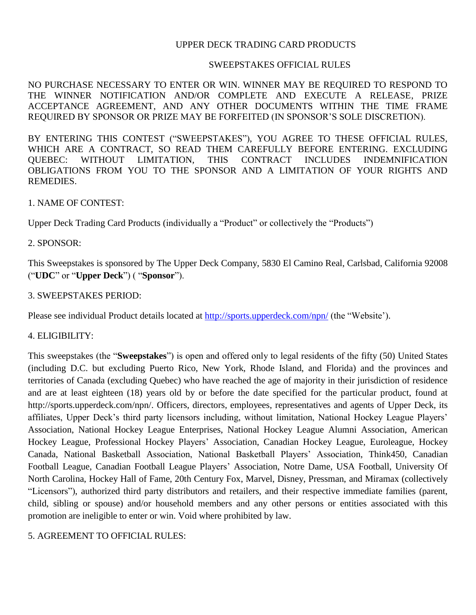### UPPER DECK TRADING CARD PRODUCTS

#### SWEEPSTAKES OFFICIAL RULES

NO PURCHASE NECESSARY TO ENTER OR WIN. WINNER MAY BE REQUIRED TO RESPOND TO THE WINNER NOTIFICATION AND/OR COMPLETE AND EXECUTE A RELEASE, PRIZE ACCEPTANCE AGREEMENT, AND ANY OTHER DOCUMENTS WITHIN THE TIME FRAME REQUIRED BY SPONSOR OR PRIZE MAY BE FORFEITED (IN SPONSOR'S SOLE DISCRETION).

BY ENTERING THIS CONTEST ("SWEEPSTAKES"), YOU AGREE TO THESE OFFICIAL RULES, WHICH ARE A CONTRACT, SO READ THEM CAREFULLY BEFORE ENTERING. EXCLUDING QUEBEC: WITHOUT LIMITATION, THIS CONTRACT INCLUDES INDEMNIFICATION OBLIGATIONS FROM YOU TO THE SPONSOR AND A LIMITATION OF YOUR RIGHTS AND REMEDIES.

#### 1. NAME OF CONTEST:

Upper Deck Trading Card Products (individually a "Product" or collectively the "Products")

#### 2. SPONSOR:

This Sweepstakes is sponsored by The Upper Deck Company, 5830 El Camino Real, Carlsbad, California 92008 ("**UDC**" or "**Upper Deck**") ( "**Sponsor**").

#### 3. SWEEPSTAKES PERIOD:

Please see individual Product details located at<http://sports.upperdeck.com/npn/> (the "Website").

#### 4. ELIGIBILITY:

This sweepstakes (the "**Sweepstakes**") is open and offered only to legal residents of the fifty (50) United States (including D.C. but excluding Puerto Rico, New York, Rhode Island, and Florida) and the provinces and territories of Canada (excluding Quebec) who have reached the age of majority in their jurisdiction of residence and are at least eighteen (18) years old by or before the date specified for the particular product, found at http://sports.upperdeck.com/npn/. Officers, directors, employees, representatives and agents of Upper Deck, its affiliates, Upper Deck's third party licensors including, without limitation, National Hockey League Players' Association, National Hockey League Enterprises, National Hockey League Alumni Association, American Hockey League, Professional Hockey Players' Association, Canadian Hockey League, Euroleague, Hockey Canada, National Basketball Association, National Basketball Players' Association, Think450, Canadian Football League, Canadian Football League Players' Association, Notre Dame, USA Football, University Of North Carolina, Hockey Hall of Fame, 20th Century Fox, Marvel, Disney, Pressman, and Miramax (collectively "Licensors"), authorized third party distributors and retailers, and their respective immediate families (parent, child, sibling or spouse) and/or household members and any other persons or entities associated with this promotion are ineligible to enter or win. Void where prohibited by law.

#### 5. AGREEMENT TO OFFICIAL RULES: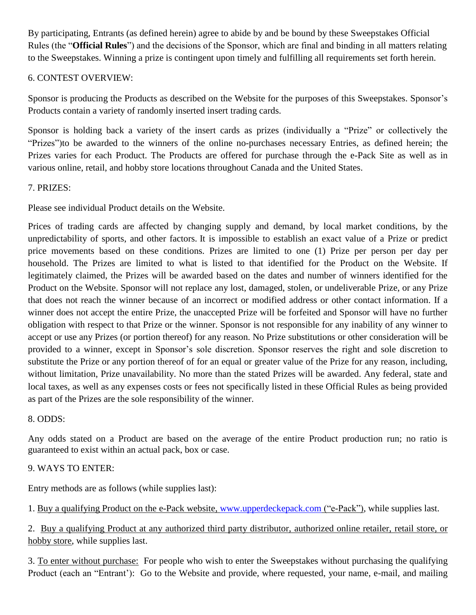By participating, Entrants (as defined herein) agree to abide by and be bound by these Sweepstakes Official Rules (the "**Official Rules**") and the decisions of the Sponsor, which are final and binding in all matters relating to the Sweepstakes. Winning a prize is contingent upon timely and fulfilling all requirements set forth herein.

# 6. CONTEST OVERVIEW:

Sponsor is producing the Products as described on the Website for the purposes of this Sweepstakes. Sponsor's Products contain a variety of randomly inserted insert trading cards.

Sponsor is holding back a variety of the insert cards as prizes (individually a "Prize" or collectively the "Prizes")to be awarded to the winners of the online no-purchases necessary Entries, as defined herein; the Prizes varies for each Product. The Products are offered for purchase through the e-Pack Site as well as in various online, retail, and hobby store locations throughout Canada and the United States.

# 7. PRIZES:

Please see individual Product details [on](../AppData/Local/Microsoft/Windows/INetCache/Content.Outlook/AppData/Local/Microsoft/Windows/INetCache/Content.Outlook/AppData/Local/Microsoft/Windows/INetCache/AppData/Local/Microsoft/Windows/INetCache/Content.Outlook/AppData/Local/Microsoft/Windows/INetCache/Content.Outlook/JSL12HSS/on) the Website.

Prices of trading cards are affected by changing supply and demand, by local market conditions, by the unpredictability of sports, and other factors. It is impossible to establish an exact value of a Prize or predict price movements based on these conditions. Prizes are limited to one (1) Prize per person per day per household. The Prizes are limited to what is listed to that identified for the Product on the Website. If legitimately claimed, the Prizes will be awarded based on the dates and number of winners identified for the Product on the Website. Sponsor will not replace any lost, damaged, stolen, or undeliverable Prize, or any Prize that does not reach the winner because of an incorrect or modified address or other contact information. If a winner does not accept the entire Prize, the unaccepted Prize will be forfeited and Sponsor will have no further obligation with respect to that Prize or the winner. Sponsor is not responsible for any inability of any winner to accept or use any Prizes (or portion thereof) for any reason. No Prize substitutions or other consideration will be provided to a winner, except in Sponsor's sole discretion. Sponsor reserves the right and sole discretion to substitute the Prize or any portion thereof of for an equal or greater value of the Prize for any reason, including, without limitation, Prize unavailability. No more than the stated Prizes will be awarded. Any federal, state and local taxes, as well as any expenses costs or fees not specifically listed in these Official Rules as being provided as part of the Prizes are the sole responsibility of the winner.

### 8. ODDS:

Any odds stated on a Product are based on the average of the entire Product production run; no ratio is guaranteed to exist within an actual pack, box or case.

# 9. WAYS TO ENTER:

Entry methods are as follows (while supplies last):

1. Buy a qualifying Product on the e-Pack website, [www.upperdeckepack.com](http://www.upperdeckepack.com/) ("e-Pack"), while supplies last.

2. Buy a qualifying Product at any authorized third party distributor, authorized online retailer, retail store, or hobby store, while supplies last.

3. To enter without purchase: For people who wish to enter the Sweepstakes without purchasing the qualifying Product (each an "Entrant'): Go to the Website and provide, where requested, your name, e-mail, and mailing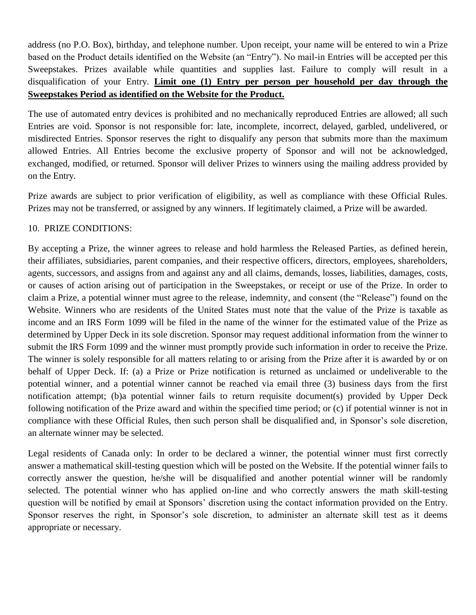address (no P.O. Box), birthday, and telephone number. Upon receipt, your name will be entered to win a Prize based on the Product details identified on the Website (an "Entry"). No mail-in Entries will be accepted per this Sweepstakes. Prizes available while quantities and supplies last. Failure to comply will result in a disqualification of your Entry. **Limit one (1) Entry per person per household per day through the Sweepstakes Period as identified on the Website for the Product.**

The use of automated entry devices is prohibited and no mechanically reproduced Entries are allowed; all such Entries are void. Sponsor is not responsible for: late, incomplete, incorrect, delayed, garbled, undelivered, or misdirected Entries. Sponsor reserves the right to disqualify any person that submits more than the maximum allowed Entries. All Entries become the exclusive property of Sponsor and will not be acknowledged, exchanged, modified, or returned. Sponsor will deliver Prizes to winners using the mailing address provided by on the Entry.

Prize awards are subject to prior verification of eligibility, as well as compliance with these Official Rules. Prizes may not be transferred, or assigned by any winners. If legitimately claimed, a Prize will be awarded.

### 10. PRIZE CONDITIONS:

By accepting a Prize, the winner agrees to release and hold harmless the Released Parties, as defined herein, their affiliates, subsidiaries, parent companies, and their respective officers, directors, employees, shareholders, agents, successors, and assigns from and against any and all claims, demands, losses, liabilities, damages, costs, or causes of action arising out of participation in the Sweepstakes, or receipt or use of the Prize. In order to claim a Prize, a potential winner must agree to the release, indemnity, and consent (the "Release") found on the Website. Winners who are residents of the United States must note that the value of the Prize is taxable as income and an IRS Form 1099 will be filed in the name of the winner for the estimated value of the Prize as determined by Upper Deck in its sole discretion. Sponsor may request additional information from the winner to submit the IRS Form 1099 and the winner must promptly provide such information in order to receive the Prize. The winner is solely responsible for all matters relating to or arising from the Prize after it is awarded by or on behalf of Upper Deck. If: (a) a Prize or Prize notification is returned as unclaimed or undeliverable to the potential winner, and a potential winner cannot be reached via email three (3) business days from the first notification attempt; (b)a potential winner fails to return requisite document(s) provided by Upper Deck following notification of the Prize award and within the specified time period; or (c) if potential winner is not in compliance with these Official Rules, then such person shall be disqualified and, in Sponsor's sole discretion, an alternate winner may be selected.

Legal residents of Canada only: In order to be declared a winner, the potential winner must first correctly answer a mathematical skill-testing question which will be posted on the Website. If the potential winner fails to correctly answer the question, he/she will be disqualified and another potential winner will be randomly selected. The potential winner who has applied on-line and who correctly answers the math skill-testing question will be notified by email at Sponsors' discretion using the contact information provided on the Entry. Sponsor reserves the right, in Sponsor's sole discretion, to administer an alternate skill test as it deems appropriate or necessary.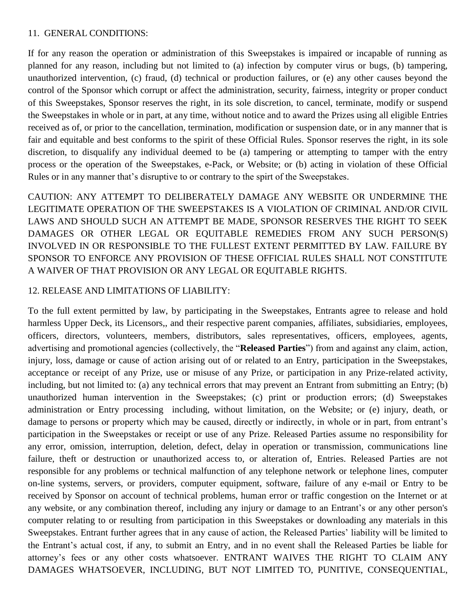### 11. GENERAL CONDITIONS:

If for any reason the operation or administration of this Sweepstakes is impaired or incapable of running as planned for any reason, including but not limited to (a) infection by computer virus or bugs, (b) tampering, unauthorized intervention, (c) fraud, (d) technical or production failures, or (e) any other causes beyond the control of the Sponsor which corrupt or affect the administration, security, fairness, integrity or proper conduct of this Sweepstakes, Sponsor reserves the right, in its sole discretion, to cancel, terminate, modify or suspend the Sweepstakes in whole or in part, at any time, without notice and to award the Prizes using all eligible Entries received as of, or prior to the cancellation, termination, modification or suspension date, or in any manner that is fair and equitable and best conforms to the spirit of these Official Rules. Sponsor reserves the right, in its sole discretion, to disqualify any individual deemed to be (a) tampering or attempting to tamper with the entry process or the operation of the Sweepstakes, e-Pack, or Website; or (b) acting in violation of these Official Rules or in any manner that's disruptive to or contrary to the spirt of the Sweepstakes.

CAUTION: ANY ATTEMPT TO DELIBERATELY DAMAGE ANY WEBSITE OR UNDERMINE THE LEGITIMATE OPERATION OF THE SWEEPSTAKES IS A VIOLATION OF CRIMINAL AND/OR CIVIL LAWS AND SHOULD SUCH AN ATTEMPT BE MADE, SPONSOR RESERVES THE RIGHT TO SEEK DAMAGES OR OTHER LEGAL OR EQUITABLE REMEDIES FROM ANY SUCH PERSON(S) INVOLVED IN OR RESPONSIBLE TO THE FULLEST EXTENT PERMITTED BY LAW. FAILURE BY SPONSOR TO ENFORCE ANY PROVISION OF THESE OFFICIAL RULES SHALL NOT CONSTITUTE A WAIVER OF THAT PROVISION OR ANY LEGAL OR EQUITABLE RIGHTS.

# 12. RELEASE AND LIMITATIONS OF LIABILITY:

To the full extent permitted by law, by participating in the Sweepstakes, Entrants agree to release and hold harmless Upper Deck, its Licensors,, and their respective parent companies, affiliates, subsidiaries, employees, officers, directors, volunteers, members, distributors, sales representatives, officers, employees, agents, advertising and promotional agencies (collectively, the "**Released Parties**") from and against any claim, action, injury, loss, damage or cause of action arising out of or related to an Entry, participation in the Sweepstakes, acceptance or receipt of any Prize, use or misuse of any Prize, or participation in any Prize-related activity, including, but not limited to: (a) any technical errors that may prevent an Entrant from submitting an Entry; (b) unauthorized human intervention in the Sweepstakes; (c) print or production errors; (d) Sweepstakes administration or Entry processing including, without limitation, on the Website; or (e) injury, death, or damage to persons or property which may be caused, directly or indirectly, in whole or in part, from entrant's participation in the Sweepstakes or receipt or use of any Prize. Released Parties assume no responsibility for any error, omission, interruption, deletion, defect, delay in operation or transmission, communications line failure, theft or destruction or unauthorized access to, or alteration of, Entries. Released Parties are not responsible for any problems or technical malfunction of any telephone network or telephone lines, computer on-line systems, servers, or providers, computer equipment, software, failure of any e-mail or Entry to be received by Sponsor on account of technical problems, human error or traffic congestion on the Internet or at any website, or any combination thereof, including any injury or damage to an Entrant's or any other person's computer relating to or resulting from participation in this Sweepstakes or downloading any materials in this Sweepstakes. Entrant further agrees that in any cause of action, the Released Parties' liability will be limited to the Entrant's actual cost, if any, to submit an Entry, and in no event shall the Released Parties be liable for attorney's fees or any other costs whatsoever. ENTRANT WAIVES THE RIGHT TO CLAIM ANY DAMAGES WHATSOEVER, INCLUDING, BUT NOT LIMITED TO, PUNITIVE, CONSEQUENTIAL,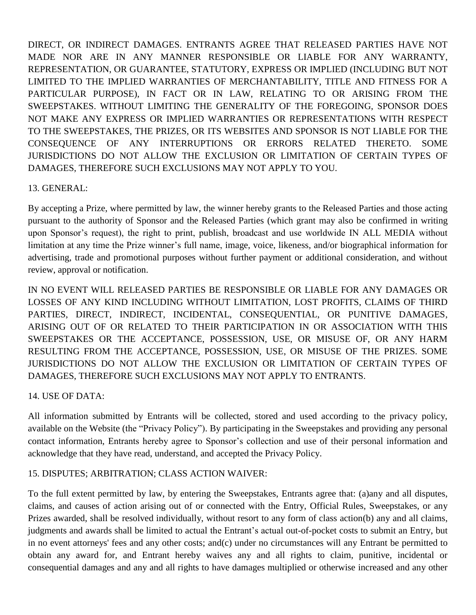DIRECT, OR INDIRECT DAMAGES. ENTRANTS AGREE THAT RELEASED PARTIES HAVE NOT MADE NOR ARE IN ANY MANNER RESPONSIBLE OR LIABLE FOR ANY WARRANTY, REPRESENTATION, OR GUARANTEE, STATUTORY, EXPRESS OR IMPLIED (INCLUDING BUT NOT LIMITED TO THE IMPLIED WARRANTIES OF MERCHANTABILITY, TITLE AND FITNESS FOR A PARTICULAR PURPOSE), IN FACT OR IN LAW, RELATING TO OR ARISING FROM THE SWEEPSTAKES. WITHOUT LIMITING THE GENERALITY OF THE FOREGOING, SPONSOR DOES NOT MAKE ANY EXPRESS OR IMPLIED WARRANTIES OR REPRESENTATIONS WITH RESPECT TO THE SWEEPSTAKES, THE PRIZES, OR ITS WEBSITES AND SPONSOR IS NOT LIABLE FOR THE CONSEQUENCE OF ANY INTERRUPTIONS OR ERRORS RELATED THERETO. SOME JURISDICTIONS DO NOT ALLOW THE EXCLUSION OR LIMITATION OF CERTAIN TYPES OF DAMAGES, THEREFORE SUCH EXCLUSIONS MAY NOT APPLY TO YOU.

# 13. GENERAL:

By accepting a Prize, where permitted by law, the winner hereby grants to the Released Parties and those acting pursuant to the authority of Sponsor and the Released Parties (which grant may also be confirmed in writing upon Sponsor's request), the right to print, publish, broadcast and use worldwide IN ALL MEDIA without limitation at any time the Prize winner's full name, image, voice, likeness, and/or biographical information for advertising, trade and promotional purposes without further payment or additional consideration, and without review, approval or notification.

IN NO EVENT WILL RELEASED PARTIES BE RESPONSIBLE OR LIABLE FOR ANY DAMAGES OR LOSSES OF ANY KIND INCLUDING WITHOUT LIMITATION, LOST PROFITS, CLAIMS OF THIRD PARTIES, DIRECT, INDIRECT, INCIDENTAL, CONSEQUENTIAL, OR PUNITIVE DAMAGES, ARISING OUT OF OR RELATED TO THEIR PARTICIPATION IN OR ASSOCIATION WITH THIS SWEEPSTAKES OR THE ACCEPTANCE, POSSESSION, USE, OR MISUSE OF, OR ANY HARM RESULTING FROM THE ACCEPTANCE, POSSESSION, USE, OR MISUSE OF THE PRIZES. SOME JURISDICTIONS DO NOT ALLOW THE EXCLUSION OR LIMITATION OF CERTAIN TYPES OF DAMAGES, THEREFORE SUCH EXCLUSIONS MAY NOT APPLY TO ENTRANTS.

### 14. USE OF DATA:

All information submitted by Entrants will be collected, stored and used according to the privacy policy, available on the Website (the "Privacy Policy"). By participating in the Sweepstakes and providing any personal contact information, Entrants hereby agree to Sponsor's collection and use of their personal information and acknowledge that they have read, understand, and accepted the [Privacy Policy.](http://www.triabeauty.com/customer-care-help?pname=5)

### 15. DISPUTES; ARBITRATION; CLASS ACTION WAIVER:

To the full extent permitted by law, by entering the Sweepstakes, Entrants agree that: (a)any and all disputes, claims, and causes of action arising out of or connected with the Entry, Official Rules, Sweepstakes, or any Prizes awarded, shall be resolved individually, without resort to any form of class action(b) any and all claims, judgments and awards shall be limited to actual the Entrant's actual out-of-pocket costs to submit an Entry, but in no event attorneys' fees and any other costs; and(c) under no circumstances will any Entrant be permitted to obtain any award for, and Entrant hereby waives any and all rights to claim, punitive, incidental or consequential damages and any and all rights to have damages multiplied or otherwise increased and any other